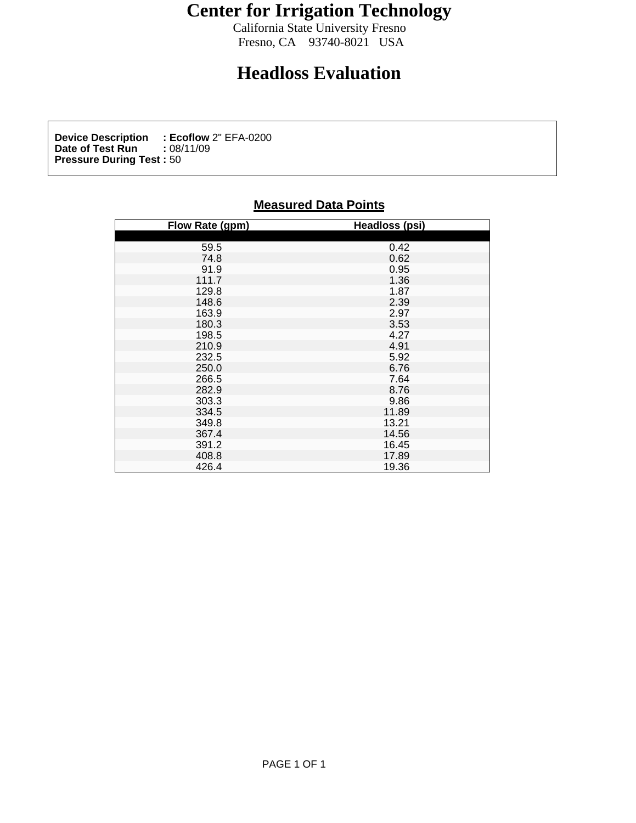## **Center for Irrigation Technology**

California State University Fresno<br>Fresno, CA 93740-8021 USA Fresno, CA 93740-8021 USA

## **Headloss Evaluation**

**Device Description : Ecoflow** 2" EFA-0200<br>Date of Test Run : 08/11/09 **Date of Test Run :** 08/11/09 **Pressure During Test :** 50

## **Measured Data Points**

| Flow Rate (gpm)                           | <b>Headloss (psi)</b>                                                                                                                                                                     |
|-------------------------------------------|-------------------------------------------------------------------------------------------------------------------------------------------------------------------------------------------|
|                                           |                                                                                                                                                                                           |
| 59.5<br>74.8<br>91.9<br>111.7             |                                                                                                                                                                                           |
|                                           |                                                                                                                                                                                           |
|                                           |                                                                                                                                                                                           |
|                                           |                                                                                                                                                                                           |
|                                           |                                                                                                                                                                                           |
| 129.8<br>148.6                            |                                                                                                                                                                                           |
|                                           |                                                                                                                                                                                           |
| 163.9<br>180.3                            |                                                                                                                                                                                           |
| 198.5                                     | 0.42<br>0.62<br>0.95<br>1.36<br>1.36<br>1.36<br>2.97<br>5.32<br>4.27<br>1.92<br>6.76<br>4<br>8.76<br>4.32<br>1.89<br>1.32<br>1.4.32<br>1.4.32<br>1.4.32<br>1.4.32<br>1.4.34<br>2.4.4.4.34 |
| 210.9                                     |                                                                                                                                                                                           |
|                                           |                                                                                                                                                                                           |
| 232.5<br>250.0<br>266.5<br>282.9<br>303.3 |                                                                                                                                                                                           |
|                                           |                                                                                                                                                                                           |
|                                           |                                                                                                                                                                                           |
|                                           |                                                                                                                                                                                           |
|                                           |                                                                                                                                                                                           |
|                                           |                                                                                                                                                                                           |
| 334.5<br>349.8<br>367.4                   |                                                                                                                                                                                           |
|                                           |                                                                                                                                                                                           |
| 391.2                                     | 16.45<br>17.89                                                                                                                                                                            |
| 408.8                                     |                                                                                                                                                                                           |
| 426.4                                     | 19.36                                                                                                                                                                                     |